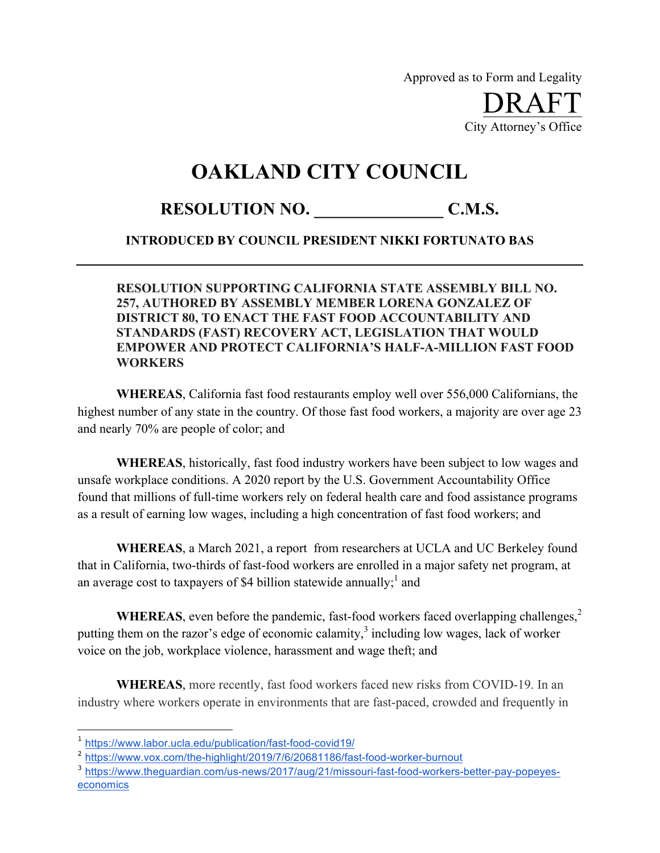Approved as to Form and Legality

DRAFT City Attorney's Office

## **OAKLAND CITY COUNCIL**

## RESOLUTION NO. C.M.S.

## **INTRODUCED BY COUNCIL PRESIDENT NIKKI FORTUNATO BAS**

## **RESOLUTION SUPPORTING CALIFORNIA STATE ASSEMBLY BILL NO. 257, AUTHORED BY ASSEMBLY MEMBER LORENA GONZALEZ OF DISTRICT 80, TO ENACT THE FAST FOOD ACCOUNTABILITY AND STANDARDS (FAST) RECOVERY ACT, LEGISLATION THAT WOULD EMPOWER AND PROTECT CALIFORNIA'S HALF-A-MILLION FAST FOOD WORKERS**

**WHEREAS**, California fast food restaurants employ well over 556,000 Californians, the highest number of any state in the country. Of those fast food workers, a majority are over age 23 and nearly 70% are people of color; and

**WHEREAS**, historically, fast food industry workers have been subject to low wages and unsafe workplace conditions. A 2020 report by the U.S. Government Accountability Office found that millions of full-time workers rely on federal health care and food assistance programs as a result of earning low wages, including a high concentration of fast food workers; and

**WHEREAS**, a March 2021, a report from researchers at UCLA and UC Berkeley found that in California, two-thirds of fast-food workers are enrolled in a major safety net program, at an average cost to taxpayers of \$4 billion statewide annually;<sup>1</sup> and

**WHEREAS**, even before the pandemic, fast-food workers faced overlapping challenges,<sup>2</sup> putting them on the razor's edge of economic calamity, $3$  including low wages, lack of worker voice on the job, workplace violence, harassment and wage theft; and

**WHEREAS**, more recently, fast food workers faced new risks from COVID-19. In an industry where workers operate in environments that are fast-paced, crowded and frequently in

 $\overline{a}$ 

<sup>1</sup> https://www.labor.ucla.edu/publication/fast-food-covid19/

<sup>2</sup> https://www.vox.com/the-highlight/2019/7/6/20681186/fast-food-worker-burnout

<sup>&</sup>lt;sup>3</sup> https://www.theguardian.com/us-news/2017/aug/21/missouri-fast-food-workers-better-pay-popeyeseconomics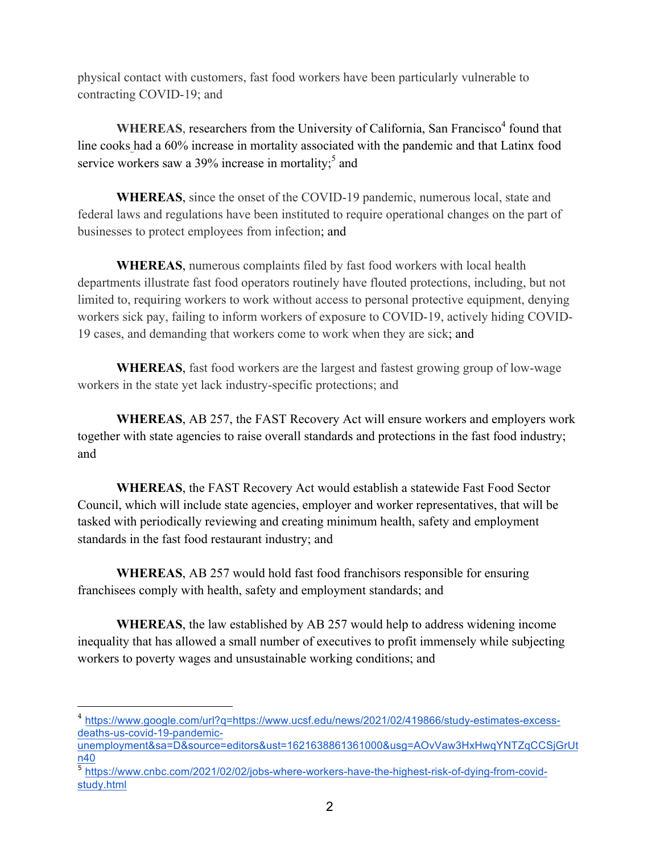physical contact with customers, fast food workers have been particularly vulnerable to contracting COVID-19; and

**WHEREAS**, researchers from the University of California, San Francisco<sup>4</sup> found that line cooks had a 60% increase in mortality associated with the pandemic and that Latinx food service workers saw a 39% increase in mortality;<sup>5</sup> and

**WHEREAS**, since the onset of the COVID-19 pandemic, numerous local, state and federal laws and regulations have been instituted to require operational changes on the part of businesses to protect employees from infection; and

**WHEREAS**, numerous complaints filed by fast food workers with local health departments illustrate fast food operators routinely have flouted protections, including, but not limited to, requiring workers to work without access to personal protective equipment, denying workers sick pay, failing to inform workers of exposure to COVID-19, actively hiding COVID-19 cases, and demanding that workers come to work when they are sick; and

**WHEREAS**, fast food workers are the largest and fastest growing group of low-wage workers in the state yet lack industry-specific protections; and

**WHEREAS**, AB 257, the FAST Recovery Act will ensure workers and employers work together with state agencies to raise overall standards and protections in the fast food industry; and

**WHEREAS**, the FAST Recovery Act would establish a statewide Fast Food Sector Council, which will include state agencies, employer and worker representatives, that will be tasked with periodically reviewing and creating minimum health, safety and employment standards in the fast food restaurant industry; and

**WHEREAS**, AB 257 would hold fast food franchisors responsible for ensuring franchisees comply with health, safety and employment standards; and

**WHEREAS**, the law established by AB 257 would help to address widening income inequality that has allowed a small number of executives to profit immensely while subjecting workers to poverty wages and unsustainable working conditions; and

 $\overline{a}$ 

<sup>4</sup> https://www.google.com/url?q=https://www.ucsf.edu/news/2021/02/419866/study-estimates-excessdeaths-us-covid-19-pandemic-

unemployment&sa=D&source=editors&ust=1621638861361000&usg=AOvVaw3HxHwqYNTZqCCSjGrUt n40

<sup>5</sup> https://www.cnbc.com/2021/02/02/jobs-where-workers-have-the-highest-risk-of-dying-from-covidstudy.html